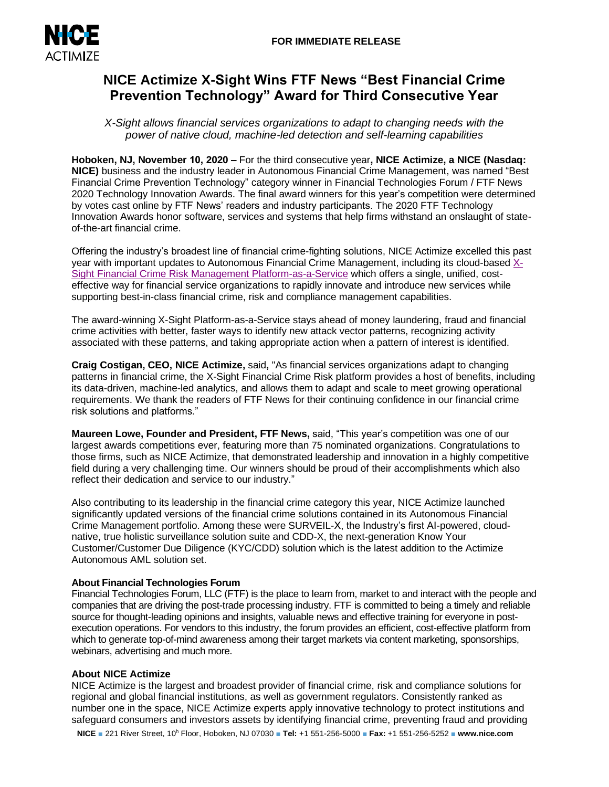

# **NICE Actimize X-Sight Wins FTF News "Best Financial Crime Prevention Technology" Award for Third Consecutive Year**

*X-Sight allows financial services organizations to adapt to changing needs with the power of native cloud, machine-led detection and self-learning capabilities*

**Hoboken, NJ, November 10, 2020 –** For the third consecutive year**, NICE Actimize, a NICE (Nasdaq: NICE)** business and the industry leader in Autonomous Financial Crime Management, was named "Best Financial Crime Prevention Technology" category winner in Financial Technologies Forum / FTF News 2020 Technology Innovation Awards. The final award winners for this year's competition were determined by votes cast online by FTF News' readers and industry participants. The 2020 FTF Technology Innovation Awards honor software, services and systems that help firms withstand an onslaught of stateof-the-art financial crime.

Offering the industry's broadest line of financial crime-fighting solutions, NICE Actimize excelled this past year with important updates to Autonomous Financial Crime Management, including its cloud-based [X-](https://www.niceactimize.com/autonomous/#utm_source=press%20release&utm_medium=press%20release&utm_campaign=X-Sight&utm_term=X-Sight)[Sight Financial Crime Risk Management Platform-as-a-Service](https://www.niceactimize.com/autonomous/#utm_source=press%20release&utm_medium=press%20release&utm_campaign=X-Sight&utm_term=X-Sight) which offers a single, unified, costeffective way for financial service organizations to rapidly innovate and introduce new services while supporting best-in-class financial crime, risk and compliance management capabilities.

The award-winning X-Sight Platform-as-a-Service stays ahead of money laundering, fraud and financial crime activities with better, faster ways to identify new attack vector patterns, recognizing activity associated with these patterns, and taking appropriate action when a pattern of interest is identified.

**Craig Costigan, CEO, NICE Actimize,** said**,** "As financial services organizations adapt to changing patterns in financial crime, the X-Sight Financial Crime Risk platform provides a host of benefits, including its data-driven, machine-led analytics, and allows them to adapt and scale to meet growing operational requirements. We thank the readers of FTF News for their continuing confidence in our financial crime risk solutions and platforms."

**Maureen Lowe, Founder and President, FTF News,** said, "This year's competition was one of our largest awards competitions ever, featuring more than 75 nominated organizations. Congratulations to those firms, such as NICE Actimize, that demonstrated leadership and innovation in a highly competitive field during a very challenging time. Our winners should be proud of their accomplishments which also reflect their dedication and service to our industry."

Also contributing to its leadership in the financial crime category this year, NICE Actimize launched significantly updated versions of the financial crime solutions contained in its Autonomous Financial Crime Management portfolio. Among these were SURVEIL-X, the Industry's first AI-powered, cloudnative, true holistic surveillance solution suite and CDD-X, the next-generation Know Your Customer/Customer Due Diligence (KYC/CDD) solution which is the latest addition to the Actimize Autonomous AML solution set.

# **About Financial Technologies Forum**

Financial Technologies Forum, LLC (FTF) is the place to learn from, market to and interact with the people and companies that are driving the post-trade processing industry. FTF is committed to being a timely and reliable source for thought-leading opinions and insights, valuable news and effective training for everyone in postexecution operations. For vendors to this industry, the forum provides an efficient, cost-effective platform from which to generate top-of-mind awareness among their target markets via content marketing, sponsorships, webinars, advertising and much more.

# **About NICE Actimize**

NICE Actimize is the largest and broadest provider of financial crime, risk and compliance solutions for regional and global financial institutions, as well as government regulators. Consistently ranked as number one in the space, NICE Actimize experts apply innovative technology to protect institutions and safeguard consumers and investors assets by identifying financial crime, preventing fraud and providing

**NICE** ■ 221 River Street, 10<sup>h</sup> Floor, Hoboken, NJ 07030 ■ **Tel:** +1 551-256-5000 ■ **Fax:** +1 551-256-5252 ■ **www.nice.com**